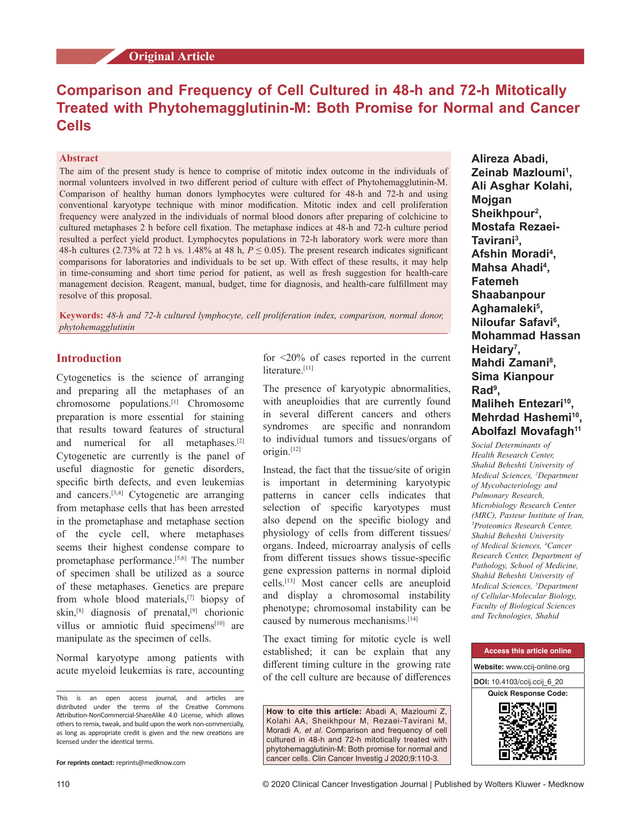# **Original Article**

# **Comparison and Frequency of Cell Cultured in 48‑h and 72‑h Mitotically Treated with Phytohemagglutinin‑M: Both Promise for Normal and Cancer Cells**

### **Abstract**

The aim of the present study is hence to comprise of mitotic index outcome in the individuals of normal volunteers involved in two different period of culture with effect of Phytohemagglutinin‑M. Comparison of healthy human donors lymphocytes were cultured for 48-h and 72-h and using conventional karyotype technique with minor modification. Mitotic index and cell proliferation frequency were analyzed in the individuals of normal blood donors after preparing of colchicine to cultured metaphases 2 h before cell fixation. The metaphase indices at 48‑h and 72‑h culture period resulted a perfect yield product. Lymphocytes populations in 72‑h laboratory work were more than 48-h cultures (2.73% at 72 h vs. 1.48% at 48 h,  $P \le 0.05$ ). The present research indicates significant comparisons for laboratories and individuals to be set up. With effect of these results, it may help in time-consuming and short time period for patient, as well as fresh suggestion for health-care management decision. Reagent, manual, budget, time for diagnosis, and health-care fulfillment may resolve of this proposal.

**Keywords:** *48‑h and 72‑h cultured lymphocyte, cell proliferation index, comparison, normal donor, phytohemagglutinin*

# **Introduction**

Cytogenetics is the science of arranging and preparing all the metaphases of an chromosome populations.[1] Chromosome preparation is more essential for staining that results toward features of structural and numerical for all metaphases.[2] Cytogenetic are currently is the panel of useful diagnostic for genetic disorders, specific birth defects, and even leukemias and cancers.[3,4] Cytogenetic are arranging from metaphase cells that has been arrested in the prometaphase and metaphase section of the cycle cell, where metaphases seems their highest condense compare to prometaphase performance.<sup>[5,6]</sup> The number of specimen shall be utilized as a source of these metaphases. Genetics are prepare from whole blood materials,[7] biopsy of skin,<sup>[8]</sup> diagnosis of prenatal,<sup>[9]</sup> chorionic villus or amniotic fluid specimens<sup>[10]</sup> are manipulate as the specimen of cells.

Normal karyotype among patients with acute myeloid leukemias is rare, accounting

**For reprints contact:** reprints@medknow.com

for <20% of cases reported in the current literature.<sup>[11]</sup>

The presence of karyotypic abnormalities, with aneuploidies that are currently found in several different cancers and others syndromes are specific and nonrandom to individual tumors and tissues/organs of origin.[12]

Instead, the fact that the tissue/site of origin is important in determining karyotypic patterns in cancer cells indicates that selection of specific karyotypes must also depend on the specific biology and physiology of cells from different tissues/ organs. Indeed, microarray analysis of cells from different tissues shows tissue-specific gene expression patterns in normal diploid cells.[13] Most cancer cells are aneuploid and display a chromosomal instability phenotype; chromosomal instability can be caused by numerous mechanisms.<sup>[14]</sup>

The exact timing for mitotic cycle is well established; it can be explain that any different timing culture in the growing rate of the cell culture are because of differences

**How to cite this article:** Abadi A, Mazloumi Z, Kolahi AA, Sheikhpour M, Rezaei-Tavirani M, Moradi A, *et al*. Comparison and frequency of cell cultured in 48-h and 72-h mitotically treated with phytohemagglutinin-M: Both promise for normal and cancer cells. Clin Cancer Investig J 2020;9:110-3.

**Alireza Abadi, Zeinab Mazloumi<sup>1</sup> , Ali Asghar Kolahi, Mojgan Sheikhpour2 , Mostafa Rezaei-Tavirani<sup>3</sup> , Afshin Moradi4 , Mahsa Ahadi4 , Fatemeh Shaabanpour Aghamaleki<sup>5</sup> , Niloufar Safavi<sup>6</sup> , Mohammad Hassan Heidary<sup>7</sup> , Mahdi Zamani8 , Sima Kianpour Rad<sup>9</sup> , Maliheh Entezari<sup>10</sup>, Mehrdad Hashemi<sup>10</sup>, Abolfazl Movafagh<sup>11</sup>**

*Social Determinants of Health Research Center, Shahid Beheshti University of Medical Sciences, 2 Department of Mycobacteriology and Pulmonary Research, Microbiology Research Center (MRC), Pasteur Institute of Iran, 3 Proteomics Research Center, Shahid Beheshti University of Medical Sciences, 4 Cancer Research Center, Department of Pathology, School of Medicine, Shahid Beheshti University of Medical Sciences, 5 Department of Cellular-Molecular Biology, Faculty of Biological Sciences and Technologies, Shahid* 



This is an open access journal, and articles are distributed under the terms of the Creative Commons Attribution‑NonCommercial‑ShareAlike 4.0 License, which allows others to remix, tweak, and build upon the work non‑commercially, as long as appropriate credit is given and the new creations are licensed under the identical terms.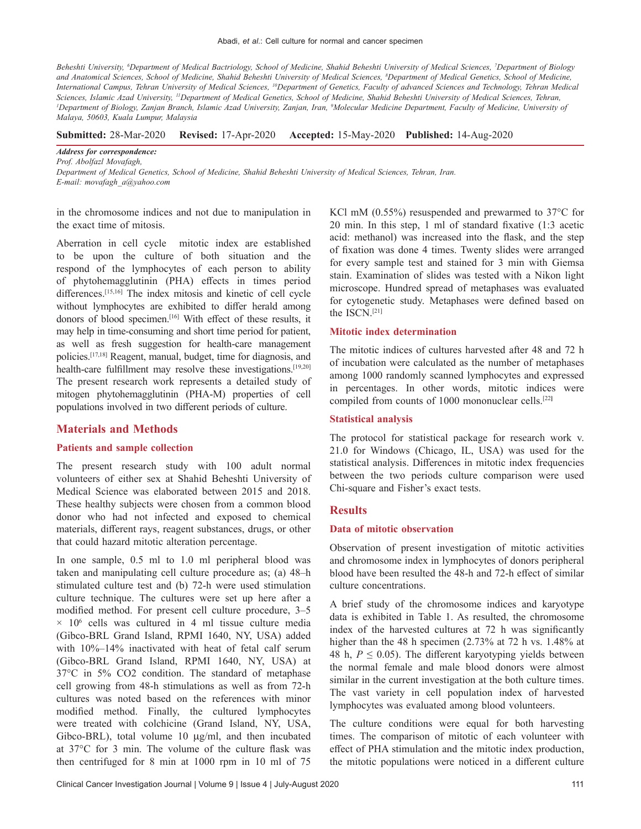*Beheshti University, 6 Department of Medical Bactriology, School of Medicine, Shahid Beheshti University of Medical Sciences, 7 Department of Biology*  and Anatomical Sciences, School of Medicine, Shahid Beheshti University of Medical Sciences, <sup>8</sup>Department of Medical Genetics, School of Medicine, *International Campus, Tehran University of Medical Sciences, 10Department of Genetics, Faculty of advanced Sciences and Technology, Tehran Medical Sciences, Islamic Azad University, 11Department of Medical Genetics, School of Medicine, Shahid Beheshti University of Medical Sciences, Tehran, 1 Department of Biology, Zanjan Branch, Islamic Azad University, Zanjan, Iran, 9 Molecular Medicine Department, Faculty of Medicine, University of Malaya, 50603, Kuala Lumpur, Malaysia*

**Submitted:** 28‑Mar‑2020 **Revised:** 17-Apr-2020 **Accepted:** 15-May-2020 **Published:** 14-Aug-2020

*Address for correspondence:*

*Prof. Abolfazl Movafagh, Department of Medical Genetics, School of Medicine, Shahid Beheshti University of Medical Sciences, Tehran, Iran. E‑mail: movafagh\_a@yahoo.com*

in the chromosome indices and not due to manipulation in the exact time of mitosis.

Aberration in cell cycle mitotic index are established to be upon the culture of both situation and the respond of the lymphocytes of each person to ability of phytohemagglutinin (PHA) effects in times period differences.[15,16] The index mitosis and kinetic of cell cycle without lymphocytes are exhibited to differ herald among donors of blood specimen.[16] With effect of these results, it may help in time-consuming and short time period for patient, as well as fresh suggestion for health-care management policies.[17,18] Reagent, manual, budget, time for diagnosis, and health-care fulfillment may resolve these investigations.<sup>[19,20]</sup> The present research work represents a detailed study of mitogen phytohemagglutinin (PHA‑M) properties of cell populations involved in two different periods of culture.

### **Materials and Methods**

# **Patients and sample collection**

The present research study with 100 adult normal volunteers of either sex at Shahid Beheshti University of Medical Science was elaborated between 2015 and 2018. These healthy subjects were chosen from a common blood donor who had not infected and exposed to chemical materials, different rays, reagent substances, drugs, or other that could hazard mitotic alteration percentage.

In one sample, 0.5 ml to 1.0 ml peripheral blood was taken and manipulating cell culture procedure as; (a) 48–h stimulated culture test and (b) 72-h were used stimulation culture technique. The cultures were set up here after a modified method. For present cell culture procedure, 3–5  $\times$  10<sup>6</sup> cells was cultured in 4 ml tissue culture media (Gibco‑BRL Grand Island, RPMI 1640, NY, USA) added with 10%–14% inactivated with heat of fetal calf serum (Gibco‑BRL Grand Island, RPMI 1640, NY, USA) at 37°C in 5% CO2 condition. The standard of metaphase cell growing from 48‑h stimulations as well as from 72‑h cultures was noted based on the references with minor modified method. Finally, the cultured lymphocytes were treated with colchicine (Grand Island, NY, USA, Gibco-BRL), total volume 10 µg/ml, and then incubated at 37°C for 3 min. The volume of the culture flask was then centrifuged for 8 min at 1000 rpm in 10 ml of 75

KCl mM  $(0.55\%)$  resuspended and prewarmed to 37°C for 20 min. In this step, 1 ml of standard fixative (1:3 acetic acid: methanol) was increased into the flask, and the step of fixation was done 4 times. Twenty slides were arranged for every sample test and stained for 3 min with Giemsa stain. Examination of slides was tested with a Nikon light microscope. Hundred spread of metaphases was evaluated for cytogenetic study. Metaphases were defined based on the ISCN.[21]

#### **Mitotic index determination**

The mitotic indices of cultures harvested after 48 and 72 h of incubation were calculated as the number of metaphases among 1000 randomly scanned lymphocytes and expressed in percentages. In other words, mitotic indices were compiled from counts of 1000 mononuclear cells.[22**]**

### **Statistical analysis**

The protocol for statistical package for research work v. 21.0 for Windows (Chicago, IL, USA) was used for the statistical analysis. Differences in mitotic index frequencies between the two periods culture comparison were used Chi‑square and Fisher's exact tests.

### **Results**

#### **Data of mitotic observation**

Observation of present investigation of mitotic activities and chromosome index in lymphocytes of donors peripheral blood have been resulted the 48‑h and 72‑h effect of similar culture concentrations.

A brief study of the chromosome indices and karyotype data is exhibited in Table 1. As resulted, the chromosome index of the harvested cultures at 72 h was significantly higher than the 48 h specimen (2.73% at 72 h vs. 1.48% at 48 h,  $P \leq 0.05$ ). The different karyotyping yields between the normal female and male blood donors were almost similar in the current investigation at the both culture times. The vast variety in cell population index of harvested lymphocytes was evaluated among blood volunteers.

The culture conditions were equal for both harvesting times. The comparison of mitotic of each volunteer with effect of PHA stimulation and the mitotic index production, the mitotic populations were noticed in a different culture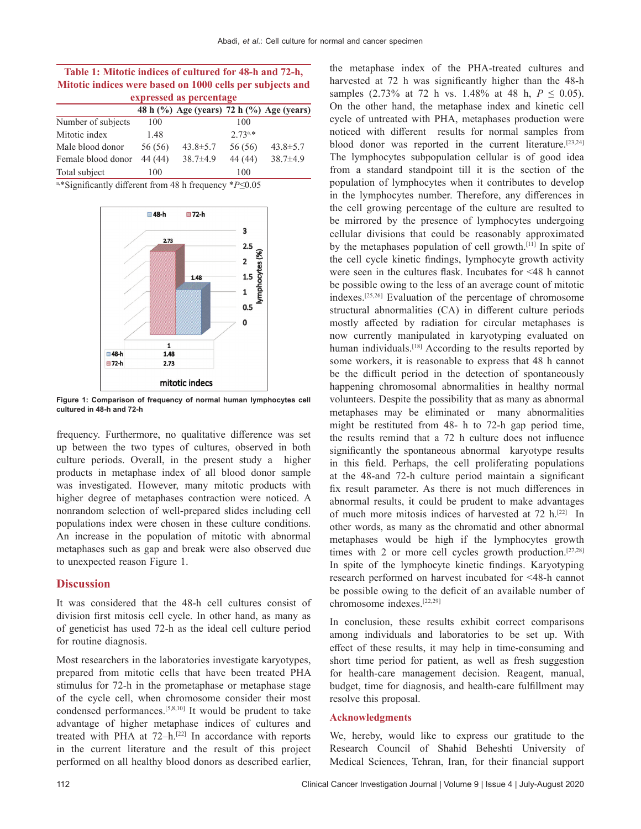| Table 1: Mitotic indices of cultured for 48-h and 72-h,<br>Mitotic indices were based on 1000 cells per subjects and<br>expressed as percentage |         |                |           |                |                    |     |                                           |     |  |
|-------------------------------------------------------------------------------------------------------------------------------------------------|---------|----------------|-----------|----------------|--------------------|-----|-------------------------------------------|-----|--|
|                                                                                                                                                 |         |                |           |                |                    |     | 48 h (%) Age (years) 72 h (%) Age (years) |     |  |
|                                                                                                                                                 |         |                |           |                | Number of subjects | 100 |                                           | 100 |  |
| Mitotic index                                                                                                                                   | 1.48    |                | $2.73a.*$ |                |                    |     |                                           |     |  |
| Male blood donor                                                                                                                                | 56 (56) | $43.8 \pm 5.7$ | 56 (56)   | $43.8 \pm 5.7$ |                    |     |                                           |     |  |
| Female blood donor                                                                                                                              | 44 (44) | $38.7 \pm 4.9$ | 44 (44)   | $38.7 + 4.9$   |                    |     |                                           |     |  |

Total subject 100 100 a,\*Significantly different from 48 h frequency \**P*≤0.05



**Figure 1: Comparison of frequency of normal human lymphocytes cell cultured in 48-h and 72-h**

frequency. Furthermore, no qualitative difference was set up between the two types of cultures, observed in both culture periods. Overall, in the present study a higher products in metaphase index of all blood donor sample was investigated. However, many mitotic products with higher degree of metaphases contraction were noticed. A nonrandom selection of well-prepared slides including cell populations index were chosen in these culture conditions. An increase in the population of mitotic with abnormal metaphases such as gap and break were also observed due to unexpected reason Figure 1.

## **Discussion**

It was considered that the 48‑h cell cultures consist of division first mitosis cell cycle. In other hand, as many as of geneticist has used 72-h as the ideal cell culture period for routine diagnosis.

Most researchers in the laboratories investigate karyotypes, prepared from mitotic cells that have been treated PHA stimulus for 72‑h in the prometaphase or metaphase stage of the cycle cell, when chromosome consider their most condensed performances.[5,8,10] It would be prudent to take advantage of higher metaphase indices of cultures and treated with PHA at  $72-h$ .<sup>[22]</sup> In accordance with reports in the current literature and the result of this project performed on all healthy blood donors as described earlier, the metaphase index of the PHA-treated cultures and harvested at 72 h was significantly higher than the 48-h samples  $(2.73\% \text{ at } 72 \text{ h vs. } 1.48\% \text{ at } 48 \text{ h}, P \le 0.05)$ . On the other hand, the metaphase index and kinetic cell cycle of untreated with PHA, metaphases production were noticed with different results for normal samples from blood donor was reported in the current literature.<sup>[23,24]</sup> The lymphocytes subpopulation cellular is of good idea from a standard standpoint till it is the section of the population of lymphocytes when it contributes to develop in the lymphocytes number. Therefore, any differences in the cell growing percentage of the culture are resulted to be mirrored by the presence of lymphocytes undergoing cellular divisions that could be reasonably approximated by the metaphases population of cell growth.[11] In spite of the cell cycle kinetic findings, lymphocyte growth activity were seen in the cultures flask. Incubates for <48 h cannot be possible owing to the less of an average count of mitotic indexes.[25,26] Evaluation of the percentage of chromosome structural abnormalities (CA) in different culture periods mostly affected by radiation for circular metaphases is now currently manipulated in karyotyping evaluated on human individuals.<sup>[18]</sup> According to the results reported by some workers, it is reasonable to express that 48 h cannot be the difficult period in the detection of spontaneously happening chromosomal abnormalities in healthy normal volunteers. Despite the possibility that as many as abnormal metaphases may be eliminated or many abnormalities might be restituted from 48‑ h to 72‑h gap period time, the results remind that a 72 h culture does not influence significantly the spontaneous abnormal karyotype results in this field. Perhaps, the cell proliferating populations at the 48‑and 72‑h culture period maintain a significant fix result parameter. As there is not much differences in abnormal results, it could be prudent to make advantages of much more mitosis indices of harvested at 72 h.<sup>[22]</sup> In other words, as many as the chromatid and other abnormal metaphases would be high if the lymphocytes growth times with 2 or more cell cycles growth production.<sup>[27,28]</sup> In spite of the lymphocyte kinetic findings. Karyotyping research performed on harvest incubated for <48‑h cannot be possible owing to the deficit of an available number of chromosome indexes.[22,29]

In conclusion, these results exhibit correct comparisons among individuals and laboratories to be set up. With effect of these results, it may help in time‑consuming and short time period for patient, as well as fresh suggestion for health-care management decision. Reagent, manual, budget, time for diagnosis, and health-care fulfillment may resolve this proposal.

#### **Acknowledgments**

We, hereby, would like to express our gratitude to the Research Council of Shahid Beheshti University of Medical Sciences, Tehran, Iran, for their financial support